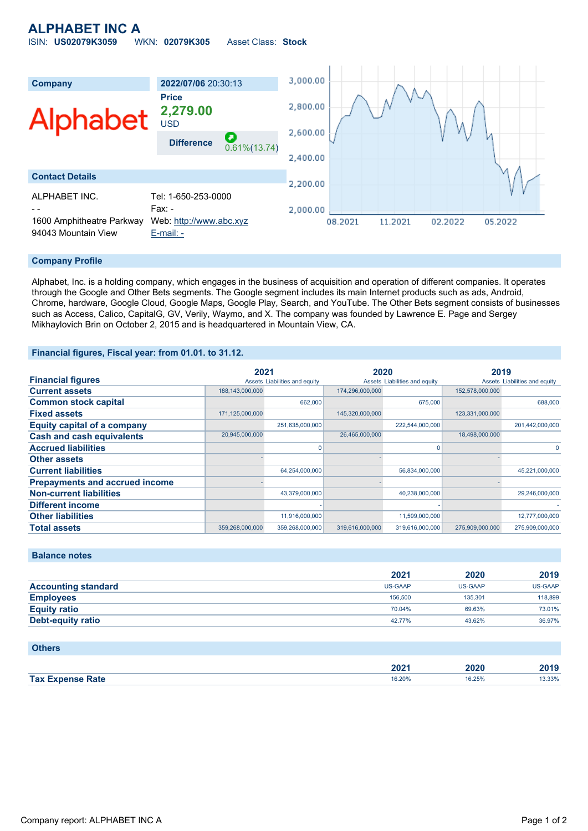# **ALPHABET INC A** ISIN: **US02079K3059** WKN: **02079K305** Asset Class: **Stock**



### **Company Profile**

Alphabet, Inc. is a holding company, which engages in the business of acquisition and operation of different companies. It operates through the Google and Other Bets segments. The Google segment includes its main Internet products such as ads, Android, Chrome, hardware, Google Cloud, Google Maps, Google Play, Search, and YouTube. The Other Bets segment consists of businesses such as Access, Calico, CapitalG, GV, Verily, Waymo, and X. The company was founded by Lawrence E. Page and Sergey Mikhaylovich Brin on October 2, 2015 and is headquartered in Mountain View, CA.

### **Financial figures, Fiscal year: from 01.01. to 31.12.**

|                                       | 2021            |                               | 2020            |                               | 2019            |                               |
|---------------------------------------|-----------------|-------------------------------|-----------------|-------------------------------|-----------------|-------------------------------|
| <b>Financial figures</b>              |                 | Assets Liabilities and equity |                 | Assets Liabilities and equity |                 | Assets Liabilities and equity |
| <b>Current assets</b>                 | 188,143,000,000 |                               | 174,296,000,000 |                               | 152,578,000,000 |                               |
| <b>Common stock capital</b>           |                 | 662,000                       |                 | 675,000                       |                 | 688,000                       |
| <b>Fixed assets</b>                   | 171,125,000,000 |                               | 145,320,000,000 |                               | 123,331,000,000 |                               |
| <b>Equity capital of a company</b>    |                 | 251,635,000,000               |                 | 222,544,000,000               |                 | 201,442,000,000               |
| <b>Cash and cash equivalents</b>      | 20,945,000,000  |                               | 26,465,000,000  |                               | 18,498,000,000  |                               |
| <b>Accrued liabilities</b>            |                 |                               |                 | n                             |                 | 0                             |
| <b>Other assets</b>                   |                 |                               |                 |                               |                 |                               |
| <b>Current liabilities</b>            |                 | 64,254,000,000                |                 | 56,834,000,000                |                 | 45,221,000,000                |
| <b>Prepayments and accrued income</b> |                 |                               |                 |                               |                 |                               |
| <b>Non-current liabilities</b>        |                 | 43,379,000,000                |                 | 40,238,000,000                |                 | 29,246,000,000                |
| <b>Different income</b>               |                 |                               |                 |                               |                 |                               |
| <b>Other liabilities</b>              |                 | 11,916,000,000                |                 | 11,599,000,000                |                 | 12,777,000,000                |
| <b>Total assets</b>                   | 359,268,000,000 | 359,268,000,000               | 319,616,000,000 | 319,616,000,000               | 275,909,000,000 | 275,909,000,000               |

## **Balance notes**

|                            | 2021           | 2020           | 2019           |
|----------------------------|----------------|----------------|----------------|
| <b>Accounting standard</b> | <b>US-GAAP</b> | <b>US-GAAP</b> | <b>US-GAAP</b> |
| <b>Employees</b>           | 156,500        | 135.301        | 118,899        |
| <b>Equity ratio</b>        | 70.04%         | 69.63%         | 73.01%         |
| Debt-equity ratio          | 42.77%         | 43.62%         | 36.97%         |

#### **Others**

|                         | רחר<br>ZUZ ' | 2020        | 2019  |
|-------------------------|--------------|-------------|-------|
| <b>Tax Expense Rate</b> | 16.20%<br>.  | 16.25%<br>. | 3.33% |